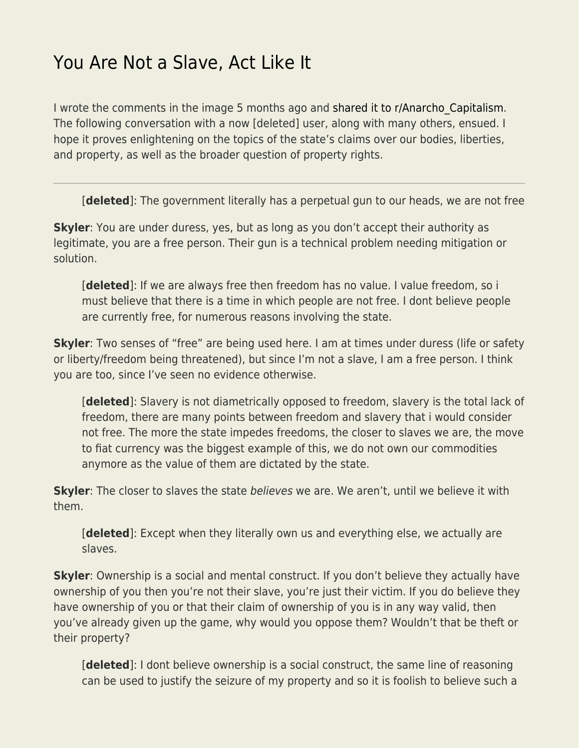## [You Are Not a Slave, Act Like It](https://everything-voluntary.com/you-are-not-a-slave-act-like-it)

I wrote the comments in the image 5 months ago and shared it to r/Anarcho Capitalism. The following conversation with a now [deleted] user, along with many others, ensued. I hope it proves enlightening on the topics of the state's claims over our bodies, liberties, and property, as well as the broader question of property rights.

[**deleted**]: The government literally has a perpetual gun to our heads, we are not free

**Skyler**: You are under duress, yes, but as long as you don't accept their authority as legitimate, you are a free person. Their gun is a technical problem needing mitigation or solution.

[**deleted**]: If we are always free then freedom has no value. I value freedom, so i must believe that there is a time in which people are not free. I dont believe people are currently free, for numerous reasons involving the state.

**Skyler**: Two senses of "free" are being used here. I am at times under duress (life or safety or liberty/freedom being threatened), but since I'm not a slave, I am a free person. I think you are too, since I've seen no evidence otherwise.

[**deleted**]: Slavery is not diametrically opposed to freedom, slavery is the total lack of freedom, there are many points between freedom and slavery that i would consider not free. The more the state impedes freedoms, the closer to slaves we are, the move to fiat currency was the biggest example of this, we do not own our commodities anymore as the value of them are dictated by the state.

**Skyler**: The closer to slaves the state believes we are. We aren't, until we believe it with them.

[**deleted**]: Except when they literally own us and everything else, we actually are slaves.

**Skyler**: Ownership is a social and mental construct. If you don't believe they actually have ownership of you then you're not their slave, you're just their victim. If you do believe they have ownership of you or that their claim of ownership of you is in any way valid, then you've already given up the game, why would you oppose them? Wouldn't that be theft or their property?

[**deleted**]: I dont believe ownership is a social construct, the same line of reasoning can be used to justify the seizure of my property and so it is foolish to believe such a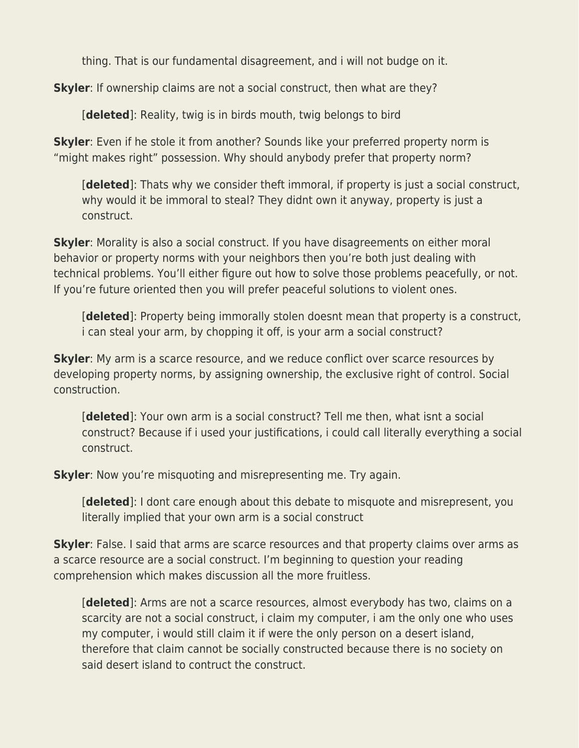thing. That is our fundamental disagreement, and i will not budge on it.

**Skyler**: If ownership claims are not a social construct, then what are they?

[**deleted**]: Reality, twig is in birds mouth, twig belongs to bird

**Skyler**: Even if he stole it from another? Sounds like your preferred property norm is "might makes right" possession. Why should anybody prefer that property norm?

[**deleted**]: Thats why we consider theft immoral, if property is just a social construct, why would it be immoral to steal? They didnt own it anyway, property is just a construct.

**Skyler**: Morality is also a social construct. If you have disagreements on either moral behavior or property norms with your neighbors then you're both just dealing with technical problems. You'll either figure out how to solve those problems peacefully, or not. If you're future oriented then you will prefer peaceful solutions to violent ones.

[**deleted**]: Property being immorally stolen doesnt mean that property is a construct, i can steal your arm, by chopping it off, is your arm a social construct?

**Skyler**: My arm is a scarce resource, and we reduce conflict over scarce resources by developing property norms, by assigning ownership, the exclusive right of control. Social construction.

[**deleted**]: Your own arm is a social construct? Tell me then, what isnt a social construct? Because if i used your justifications, i could call literally everything a social construct.

**Skyler**: Now you're misquoting and misrepresenting me. Try again.

[**deleted**]: I dont care enough about this debate to misquote and misrepresent, you literally implied that your own arm is a social construct

**Skyler**: False. I said that arms are scarce resources and that property claims over arms as a scarce resource are a social construct. I'm beginning to question your reading comprehension which makes discussion all the more fruitless.

[**deleted**]: Arms are not a scarce resources, almost everybody has two, claims on a scarcity are not a social construct, i claim my computer, i am the only one who uses my computer, i would still claim it if were the only person on a desert island, therefore that claim cannot be socially constructed because there is no society on said desert island to contruct the construct.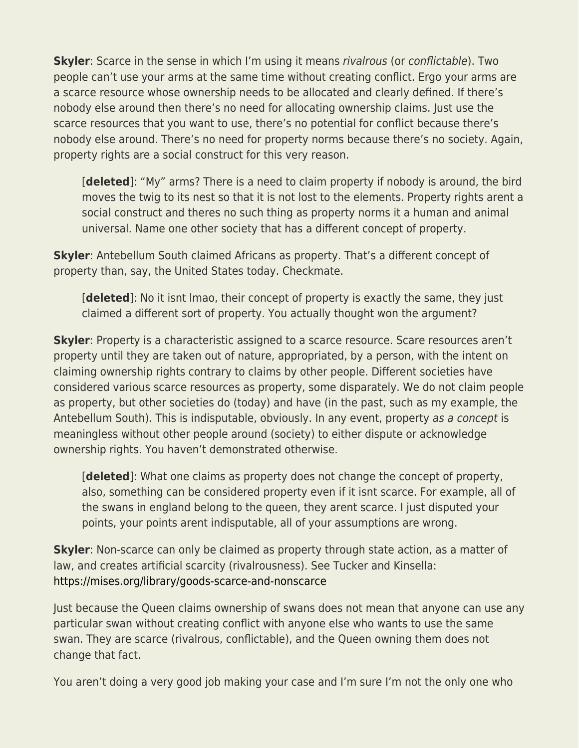**Skyler**: Scarce in the sense in which I'm using it means rivalrous (or conflictable). Two people can't use your arms at the same time without creating conflict. Ergo your arms are a scarce resource whose ownership needs to be allocated and clearly defined. If there's nobody else around then there's no need for allocating ownership claims. Just use the scarce resources that you want to use, there's no potential for conflict because there's nobody else around. There's no need for property norms because there's no society. Again, property rights are a social construct for this very reason.

[**deleted**]: "My" arms? There is a need to claim property if nobody is around, the bird moves the twig to its nest so that it is not lost to the elements. Property rights arent a social construct and theres no such thing as property norms it a human and animal universal. Name one other society that has a different concept of property.

**Skyler:** Antebellum South claimed Africans as property. That's a different concept of property than, say, the United States today. Checkmate.

[**deleted**]: No it isnt lmao, their concept of property is exactly the same, they just claimed a different sort of property. You actually thought won the argument?

**Skyler**: Property is a characteristic assigned to a scarce resource. Scare resources aren't property until they are taken out of nature, appropriated, by a person, with the intent on claiming ownership rights contrary to claims by other people. Different societies have considered various scarce resources as property, some disparately. We do not claim people as property, but other societies do (today) and have (in the past, such as my example, the Antebellum South). This is indisputable, obviously. In any event, property as a concept is meaningless without other people around (society) to either dispute or acknowledge ownership rights. You haven't demonstrated otherwise.

[**deleted**]: What one claims as property does not change the concept of property, also, something can be considered property even if it isnt scarce. For example, all of the swans in england belong to the queen, they arent scarce. I just disputed your points, your points arent indisputable, all of your assumptions are wrong.

**Skyler**: Non-scarce can only be claimed as property through state action, as a matter of law, and creates artificial scarcity (rivalrousness). See Tucker and Kinsella: <https://mises.org/library/goods-scarce-and-nonscarce>

Just because the Queen claims ownership of swans does not mean that anyone can use any particular swan without creating conflict with anyone else who wants to use the same swan. They are scarce (rivalrous, conflictable), and the Queen owning them does not change that fact.

You aren't doing a very good job making your case and I'm sure I'm not the only one who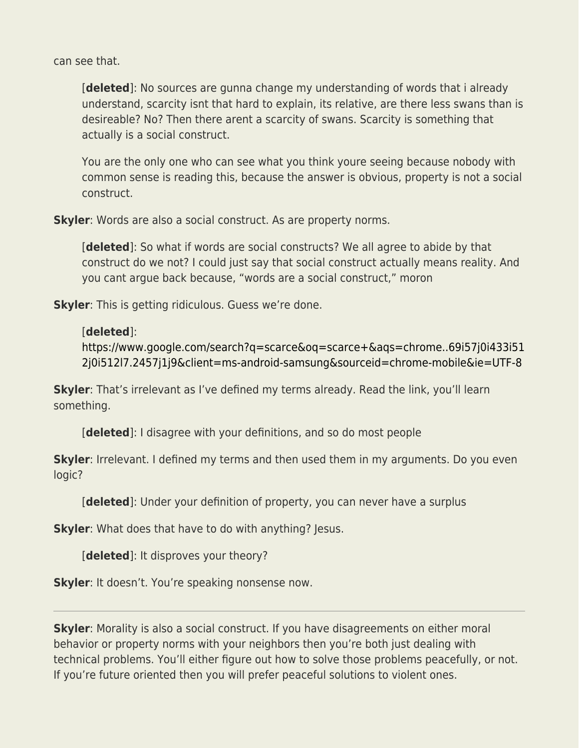can see that.

[**deleted**]: No sources are gunna change my understanding of words that i already understand, scarcity isnt that hard to explain, its relative, are there less swans than is desireable? No? Then there arent a scarcity of swans. Scarcity is something that actually is a social construct.

You are the only one who can see what you think youre seeing because nobody with common sense is reading this, because the answer is obvious, property is not a social construct.

**Skyler**: Words are also a social construct. As are property norms.

[**deleted**]: So what if words are social constructs? We all agree to abide by that construct do we not? I could just say that social construct actually means reality. And you cant argue back because, "words are a social construct," moron

**Skyler**: This is getting ridiculous. Guess we're done.

## [**deleted**]:

[https://www.google.com/search?q=scarce&oq=scarce+&aqs=chrome..69i57j0i433i51](https://www.google.com/search?q=scarce&oq=scarce+&aqs=chrome..69i57j0i433i512j0i512l7.2457j1j9&client=ms-android-samsung&sourceid=chrome-mobile&ie=UTF-8) [2j0i512l7.2457j1j9&client=ms-android-samsung&sourceid=chrome-mobile&ie=UTF-8](https://www.google.com/search?q=scarce&oq=scarce+&aqs=chrome..69i57j0i433i512j0i512l7.2457j1j9&client=ms-android-samsung&sourceid=chrome-mobile&ie=UTF-8)

**Skyler**: That's irrelevant as I've defined my terms already. Read the link, you'll learn something.

[**deleted**]: I disagree with your definitions, and so do most people

**Skyler**: Irrelevant. I defined my terms and then used them in my arguments. Do you even logic?

[**deleted**]: Under your definition of property, you can never have a surplus

**Skyler**: What does that have to do with anything? Jesus.

[**deleted**]: It disproves your theory?

**Skyler**: It doesn't. You're speaking nonsense now.

**Skyler**: Morality is also a social construct. If you have disagreements on either moral behavior or property norms with your neighbors then you're both just dealing with technical problems. You'll either figure out how to solve those problems peacefully, or not. If you're future oriented then you will prefer peaceful solutions to violent ones.